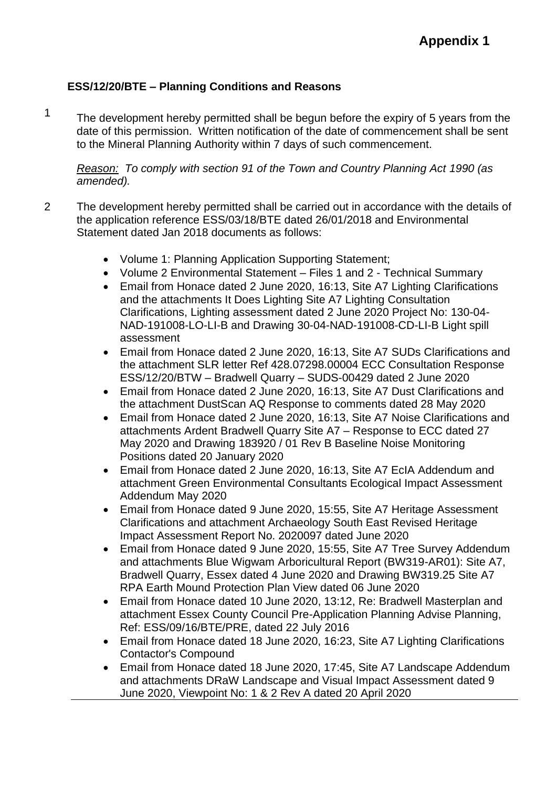## **ESS/12/20/BTE – Planning Conditions and Reasons**

1

The development hereby permitted shall be begun before the expiry of 5 years from the date of this permission. Written notification of the date of commencement shall be sent to the Mineral Planning Authority within 7 days of such commencement.

*Reason: To comply with section 91 of the Town and Country Planning Act 1990 (as amended).*

- 2 The development hereby permitted shall be carried out in accordance with the details of the application reference ESS/03/18/BTE dated 26/01/2018 and Environmental Statement dated Jan 2018 documents as follows:
	- Volume 1: Planning Application Supporting Statement;
	- Volume 2 Environmental Statement Files 1 and 2 Technical Summary
	- Email from Honace dated 2 June 2020, 16:13, Site A7 Lighting Clarifications and the attachments It Does Lighting Site A7 Lighting Consultation Clarifications, Lighting assessment dated 2 June 2020 Project No: 130-04- NAD-191008-LO-LI-B and Drawing 30-04-NAD-191008-CD-LI-B Light spill assessment
	- Email from Honace dated 2 June 2020, 16:13, Site A7 SUDs Clarifications and the attachment SLR letter Ref 428.07298.00004 ECC Consultation Response ESS/12/20/BTW – Bradwell Quarry – SUDS-00429 dated 2 June 2020
	- Email from Honace dated 2 June 2020, 16:13, Site A7 Dust Clarifications and the attachment DustScan AQ Response to comments dated 28 May 2020
	- Email from Honace dated 2 June 2020, 16:13, Site A7 Noise Clarifications and attachments Ardent Bradwell Quarry Site A7 – Response to ECC dated 27 May 2020 and Drawing 183920 / 01 Rev B Baseline Noise Monitoring Positions dated 20 January 2020
	- Email from Honace dated 2 June 2020, 16:13, Site A7 EcIA Addendum and attachment Green Environmental Consultants Ecological Impact Assessment Addendum May 2020
	- Email from Honace dated 9 June 2020, 15:55, Site A7 Heritage Assessment Clarifications and attachment Archaeology South East Revised Heritage Impact Assessment Report No. 2020097 dated June 2020
	- Email from Honace dated 9 June 2020, 15:55, Site A7 Tree Survey Addendum and attachments Blue Wigwam Arboricultural Report (BW319-AR01): Site A7, Bradwell Quarry, Essex dated 4 June 2020 and Drawing BW319.25 Site A7 RPA Earth Mound Protection Plan View dated 06 June 2020
	- Email from Honace dated 10 June 2020, 13:12, Re: Bradwell Masterplan and attachment Essex County Council Pre-Application Planning Advise Planning, Ref: ESS/09/16/BTE/PRE, dated 22 July 2016
	- Email from Honace dated 18 June 2020, 16:23, Site A7 Lighting Clarifications Contactor's Compound
	- Email from Honace dated 18 June 2020, 17:45, Site A7 Landscape Addendum and attachments DRaW Landscape and Visual Impact Assessment dated 9 June 2020, Viewpoint No: 1 & 2 Rev A dated 20 April 2020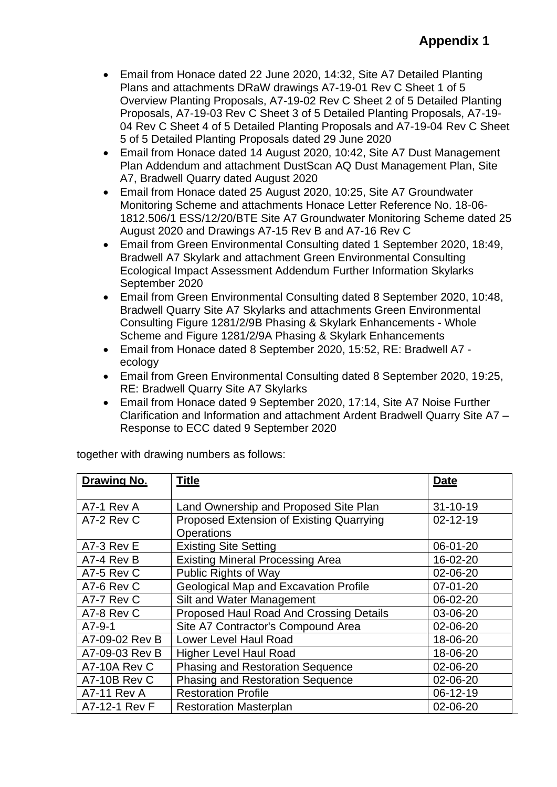- Email from Honace dated 22 June 2020, 14:32, Site A7 Detailed Planting Plans and attachments DRaW drawings A7-19-01 Rev C Sheet 1 of 5 Overview Planting Proposals, A7-19-02 Rev C Sheet 2 of 5 Detailed Planting Proposals, A7-19-03 Rev C Sheet 3 of 5 Detailed Planting Proposals, A7-19- 04 Rev C Sheet 4 of 5 Detailed Planting Proposals and A7-19-04 Rev C Sheet 5 of 5 Detailed Planting Proposals dated 29 June 2020
- Email from Honace dated 14 August 2020, 10:42, Site A7 Dust Management Plan Addendum and attachment DustScan AQ Dust Management Plan, Site A7, Bradwell Quarry dated August 2020
- Email from Honace dated 25 August 2020, 10:25, Site A7 Groundwater Monitoring Scheme and attachments Honace Letter Reference No. 18-06- 1812.506/1 ESS/12/20/BTE Site A7 Groundwater Monitoring Scheme dated 25 August 2020 and Drawings A7-15 Rev B and A7-16 Rev C
- Email from Green Environmental Consulting dated 1 September 2020, 18:49, Bradwell A7 Skylark and attachment Green Environmental Consulting Ecological Impact Assessment Addendum Further Information Skylarks September 2020
- Email from Green Environmental Consulting dated 8 September 2020, 10:48, Bradwell Quarry Site A7 Skylarks and attachments Green Environmental Consulting Figure 1281/2/9B Phasing & Skylark Enhancements - Whole Scheme and Figure 1281/2/9A Phasing & Skylark Enhancements
- Email from Honace dated 8 September 2020, 15:52, RE: Bradwell A7 ecology
- Email from Green Environmental Consulting dated 8 September 2020, 19:25, RE: Bradwell Quarry Site A7 Skylarks
- Email from Honace dated 9 September 2020, 17:14, Site A7 Noise Further Clarification and Information and attachment Ardent Bradwell Quarry Site A7 – Response to ECC dated 9 September 2020

| Drawing No.        | <b>Title</b>                                 | <b>Date</b>    |
|--------------------|----------------------------------------------|----------------|
|                    |                                              |                |
| A7-1 Rev A         | Land Ownership and Proposed Site Plan        | $31 - 10 - 19$ |
| A7-2 Rev C         | Proposed Extension of Existing Quarrying     | $02 - 12 - 19$ |
|                    | <b>Operations</b>                            |                |
| A7-3 Rev E         | <b>Existing Site Setting</b>                 | 06-01-20       |
| A7-4 Rev B         | <b>Existing Mineral Processing Area</b>      | 16-02-20       |
| A7-5 Rev C         | <b>Public Rights of Way</b>                  | 02-06-20       |
| A7-6 Rev C         | <b>Geological Map and Excavation Profile</b> | $07 - 01 - 20$ |
| A7-7 Rev C         | Silt and Water Management                    | 06-02-20       |
| A7-8 Rev C         | Proposed Haul Road And Crossing Details      | 03-06-20       |
| $A7-9-1$           | Site A7 Contractor's Compound Area           | 02-06-20       |
| A7-09-02 Rev B     | Lower Level Haul Road                        | 18-06-20       |
| A7-09-03 Rev B     | <b>Higher Level Haul Road</b>                | 18-06-20       |
| A7-10A Rev C       | <b>Phasing and Restoration Sequence</b>      | 02-06-20       |
| A7-10B Rev C       | <b>Phasing and Restoration Sequence</b>      | 02-06-20       |
| <b>A7-11 Rev A</b> | <b>Restoration Profile</b>                   | 06-12-19       |
| A7-12-1 Rev F      | <b>Restoration Masterplan</b>                | 02-06-20       |

together with drawing numbers as follows: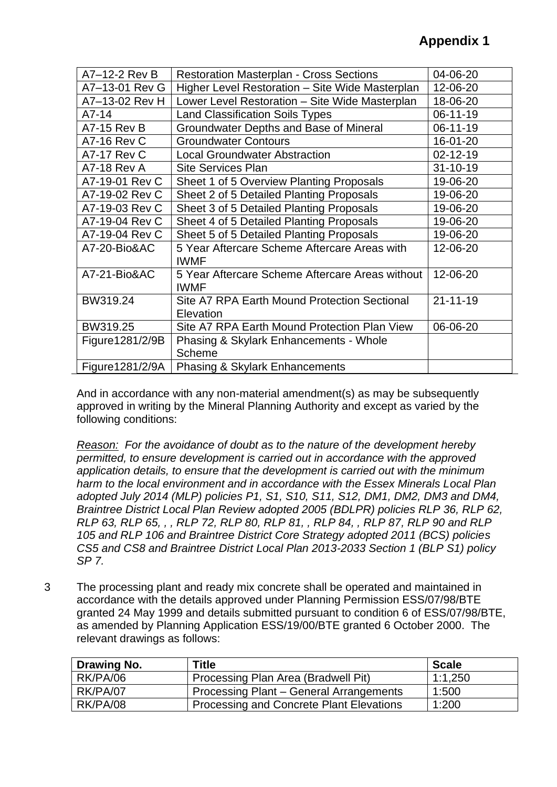| A7-12-2 Rev B      | <b>Restoration Masterplan - Cross Sections</b>                 | 04-06-20       |
|--------------------|----------------------------------------------------------------|----------------|
| A7-13-01 Rev G     | Higher Level Restoration - Site Wide Masterplan                | 12-06-20       |
| A7-13-02 Rev H     | Lower Level Restoration - Site Wide Masterplan                 | 18-06-20       |
| $A7-14$            | <b>Land Classification Soils Types</b>                         | 06-11-19       |
| <b>A7-15 Rev B</b> | Groundwater Depths and Base of Mineral                         | 06-11-19       |
| <b>A7-16 Rev C</b> | <b>Groundwater Contours</b>                                    | 16-01-20       |
| <b>A7-17 Rev C</b> | <b>Local Groundwater Abstraction</b>                           | $02 - 12 - 19$ |
| <b>A7-18 Rev A</b> | <b>Site Services Plan</b>                                      | $31 - 10 - 19$ |
| A7-19-01 Rev C     | Sheet 1 of 5 Overview Planting Proposals                       | 19-06-20       |
| A7-19-02 Rev C     | Sheet 2 of 5 Detailed Planting Proposals                       | 19-06-20       |
| A7-19-03 Rev C     | Sheet 3 of 5 Detailed Planting Proposals                       | 19-06-20       |
| A7-19-04 Rev C     | Sheet 4 of 5 Detailed Planting Proposals                       | 19-06-20       |
| A7-19-04 Rev C     | Sheet 5 of 5 Detailed Planting Proposals                       | 19-06-20       |
| A7-20-Bio&AC       | 5 Year Aftercare Scheme Aftercare Areas with<br><b>IWMF</b>    | 12-06-20       |
| A7-21-Bio&AC       | 5 Year Aftercare Scheme Aftercare Areas without<br><b>IWMF</b> | 12-06-20       |
| BW319.24           | Site A7 RPA Earth Mound Protection Sectional<br>Elevation      | $21 - 11 - 19$ |
| BW319.25           | Site A7 RPA Earth Mound Protection Plan View                   | 06-06-20       |
| Figure1281/2/9B    | <b>Phasing &amp; Skylark Enhancements - Whole</b><br>Scheme    |                |
| Figure1281/2/9A    | <b>Phasing &amp; Skylark Enhancements</b>                      |                |

And in accordance with any non-material amendment(s) as may be subsequently approved in writing by the Mineral Planning Authority and except as varied by the following conditions:

*Reason: For the avoidance of doubt as to the nature of the development hereby permitted, to ensure development is carried out in accordance with the approved application details, to ensure that the development is carried out with the minimum harm to the local environment and in accordance with the Essex Minerals Local Plan adopted July 2014 (MLP) policies P1, S1, S10, S11, S12, DM1, DM2, DM3 and DM4, Braintree District Local Plan Review adopted 2005 (BDLPR) policies RLP 36, RLP 62, RLP 63, RLP 65, , , RLP 72, RLP 80, RLP 81, , RLP 84, , RLP 87, RLP 90 and RLP 105 and RLP 106 and Braintree District Core Strategy adopted 2011 (BCS) policies CS5 and CS8 and Braintree District Local Plan 2013-2033 Section 1 (BLP S1) policy SP 7.*

3 The processing plant and ready mix concrete shall be operated and maintained in accordance with the details approved under Planning Permission ESS/07/98/BTE granted 24 May 1999 and details submitted pursuant to condition 6 of ESS/07/98/BTE, as amended by Planning Application ESS/19/00/BTE granted 6 October 2000. The relevant drawings as follows:

| Drawing No. | Title                                    | <b>Scale</b> |
|-------------|------------------------------------------|--------------|
| RK/PA/06    | Processing Plan Area (Bradwell Pit)      | 1:1,250      |
| RK/PA/07    | Processing Plant – General Arrangements  | 1:500        |
| RK/PA/08    | Processing and Concrete Plant Elevations | 1:200        |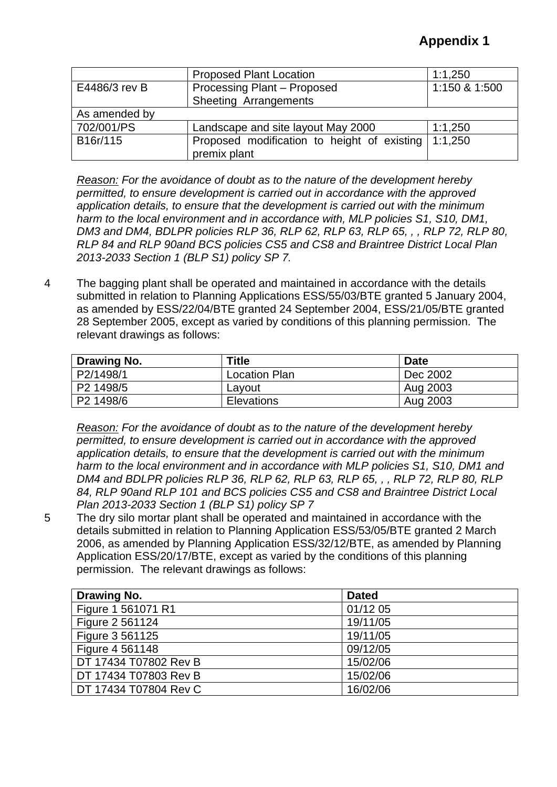|               | <b>Proposed Plant Location</b>              | 1:1,250       |
|---------------|---------------------------------------------|---------------|
| E4486/3 rev B | Processing Plant - Proposed                 | 1:150 & 1:500 |
|               | Sheeting Arrangements                       |               |
| As amended by |                                             |               |
| 702/001/PS    | Landscape and site layout May 2000          | 1:1,250       |
| B16r/115      | Proposed modification to height of existing | 1:1,250       |
|               | premix plant                                |               |

*Reason: For the avoidance of doubt as to the nature of the development hereby permitted, to ensure development is carried out in accordance with the approved application details, to ensure that the development is carried out with the minimum harm to the local environment and in accordance with, MLP policies S1, S10, DM1, DM3 and DM4, BDLPR policies RLP 36, RLP 62, RLP 63, RLP 65, , , RLP 72, RLP 80, RLP 84 and RLP 90and BCS policies CS5 and CS8 and Braintree District Local Plan 2013-2033 Section 1 (BLP S1) policy SP 7.*

4 The bagging plant shall be operated and maintained in accordance with the details submitted in relation to Planning Applications ESS/55/03/BTE granted 5 January 2004, as amended by ESS/22/04/BTE granted 24 September 2004, ESS/21/05/BTE granted 28 September 2005, except as varied by conditions of this planning permission. The relevant drawings as follows:

| Drawing No. | <b>Title</b>         | <b>Date</b> |
|-------------|----------------------|-------------|
| P2/1498/1   | <b>Location Plan</b> | Dec 2002    |
| P2 1498/5   | Layout               | Aug 2003    |
| P2 1498/6   | Elevations           | Aug 2003    |

*Reason: For the avoidance of doubt as to the nature of the development hereby permitted, to ensure development is carried out in accordance with the approved application details, to ensure that the development is carried out with the minimum harm to the local environment and in accordance with MLP policies S1, S10, DM1 and DM4 and BDLPR policies RLP 36, RLP 62, RLP 63, RLP 65, , , RLP 72, RLP 80, RLP 84, RLP 90and RLP 101 and BCS policies CS5 and CS8 and Braintree District Local Plan 2013-2033 Section 1 (BLP S1) policy SP 7*

5 The dry silo mortar plant shall be operated and maintained in accordance with the details submitted in relation to Planning Application ESS/53/05/BTE granted 2 March 2006, as amended by Planning Application ESS/32/12/BTE, as amended by Planning Application ESS/20/17/BTE, except as varied by the conditions of this planning permission. The relevant drawings as follows:

| Drawing No.           | <b>Dated</b> |
|-----------------------|--------------|
| Figure 1 561071 R1    | 01/12 05     |
| Figure 2 561124       | 19/11/05     |
| Figure 3 561125       | 19/11/05     |
| Figure 4 561148       | 09/12/05     |
| DT 17434 T07802 Rev B | 15/02/06     |
| DT 17434 T07803 Rev B | 15/02/06     |
| DT 17434 T07804 Rev C | 16/02/06     |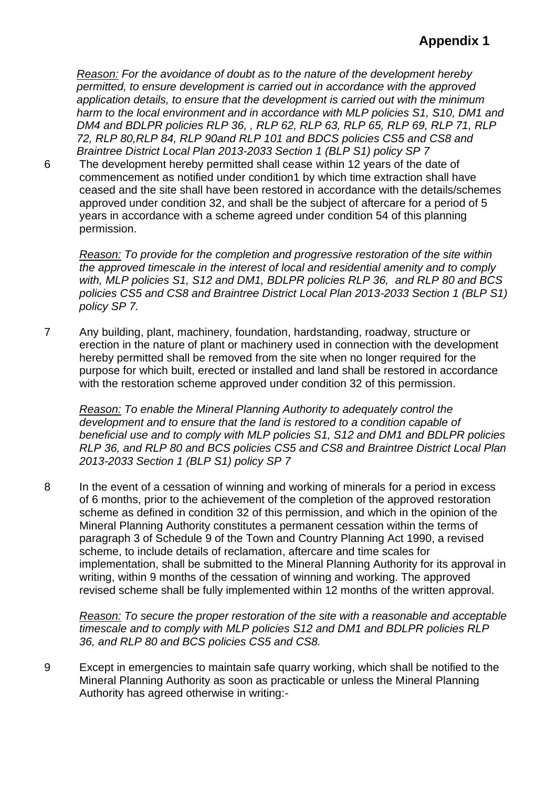*Reason: For the avoidance of doubt as to the nature of the development hereby permitted, to ensure development is carried out in accordance with the approved application details, to ensure that the development is carried out with the minimum harm to the local environment and in accordance with MLP policies S1, S10, DM1 and DM4 and BDLPR policies RLP 36, , RLP 62, RLP 63, RLP 65, RLP 69, RLP 71, RLP 72, RLP 80,RLP 84, RLP 90and RLP 101 and BDCS policies CS5 and CS8 and Braintree District Local Plan 2013-2033 Section 1 (BLP S1) policy SP 7*

6 The development hereby permitted shall cease within 12 years of the date of commencement as notified under condition1 by which time extraction shall have ceased and the site shall have been restored in accordance with the details/schemes approved under condition 32, and shall be the subject of aftercare for a period of 5 years in accordance with a scheme agreed under condition 54 of this planning permission.

*Reason: To provide for the completion and progressive restoration of the site within the approved timescale in the interest of local and residential amenity and to comply with, MLP policies S1, S12 and DM1, BDLPR policies RLP 36, and RLP 80 and BCS policies CS5 and CS8 and Braintree District Local Plan 2013-2033 Section 1 (BLP S1) policy SP 7.*

7 Any building, plant, machinery, foundation, hardstanding, roadway, structure or erection in the nature of plant or machinery used in connection with the development hereby permitted shall be removed from the site when no longer required for the purpose for which built, erected or installed and land shall be restored in accordance with the restoration scheme approved under condition 32 of this permission.

*Reason: To enable the Mineral Planning Authority to adequately control the development and to ensure that the land is restored to a condition capable of beneficial use and to comply with MLP policies S1, S12 and DM1 and BDLPR policies RLP 36, and RLP 80 and BCS policies CS5 and CS8 and Braintree District Local Plan 2013-2033 Section 1 (BLP S1) policy SP 7*

8 In the event of a cessation of winning and working of minerals for a period in excess of 6 months, prior to the achievement of the completion of the approved restoration scheme as defined in condition 32 of this permission, and which in the opinion of the Mineral Planning Authority constitutes a permanent cessation within the terms of paragraph 3 of Schedule 9 of the Town and Country Planning Act 1990, a revised scheme, to include details of reclamation, aftercare and time scales for implementation, shall be submitted to the Mineral Planning Authority for its approval in writing, within 9 months of the cessation of winning and working. The approved revised scheme shall be fully implemented within 12 months of the written approval.

*Reason: To secure the proper restoration of the site with a reasonable and acceptable timescale and to comply with MLP policies S12 and DM1 and BDLPR policies RLP 36, and RLP 80 and BCS policies CS5 and CS8.*

9 Except in emergencies to maintain safe quarry working, which shall be notified to the Mineral Planning Authority as soon as practicable or unless the Mineral Planning Authority has agreed otherwise in writing:-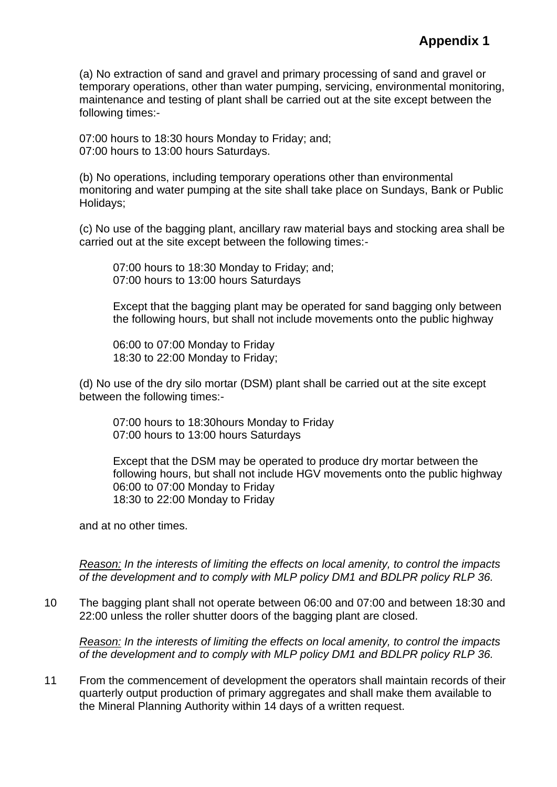(a) No extraction of sand and gravel and primary processing of sand and gravel or temporary operations, other than water pumping, servicing, environmental monitoring, maintenance and testing of plant shall be carried out at the site except between the following times:-

07:00 hours to 18:30 hours Monday to Friday; and; 07:00 hours to 13:00 hours Saturdays.

(b) No operations, including temporary operations other than environmental monitoring and water pumping at the site shall take place on Sundays, Bank or Public Holidays;

(c) No use of the bagging plant, ancillary raw material bays and stocking area shall be carried out at the site except between the following times:-

07:00 hours to 18:30 Monday to Friday; and; 07:00 hours to 13:00 hours Saturdays

Except that the bagging plant may be operated for sand bagging only between the following hours, but shall not include movements onto the public highway

06:00 to 07:00 Monday to Friday 18:30 to 22:00 Monday to Friday;

(d) No use of the dry silo mortar (DSM) plant shall be carried out at the site except between the following times:-

07:00 hours to 18:30hours Monday to Friday 07:00 hours to 13:00 hours Saturdays

Except that the DSM may be operated to produce dry mortar between the following hours, but shall not include HGV movements onto the public highway 06:00 to 07:00 Monday to Friday 18:30 to 22:00 Monday to Friday

and at no other times.

*Reason: In the interests of limiting the effects on local amenity, to control the impacts of the development and to comply with MLP policy DM1 and BDLPR policy RLP 36.* 

10 The bagging plant shall not operate between 06:00 and 07:00 and between 18:30 and 22:00 unless the roller shutter doors of the bagging plant are closed.

*Reason: In the interests of limiting the effects on local amenity, to control the impacts of the development and to comply with MLP policy DM1 and BDLPR policy RLP 36.*

11 From the commencement of development the operators shall maintain records of their quarterly output production of primary aggregates and shall make them available to the Mineral Planning Authority within 14 days of a written request.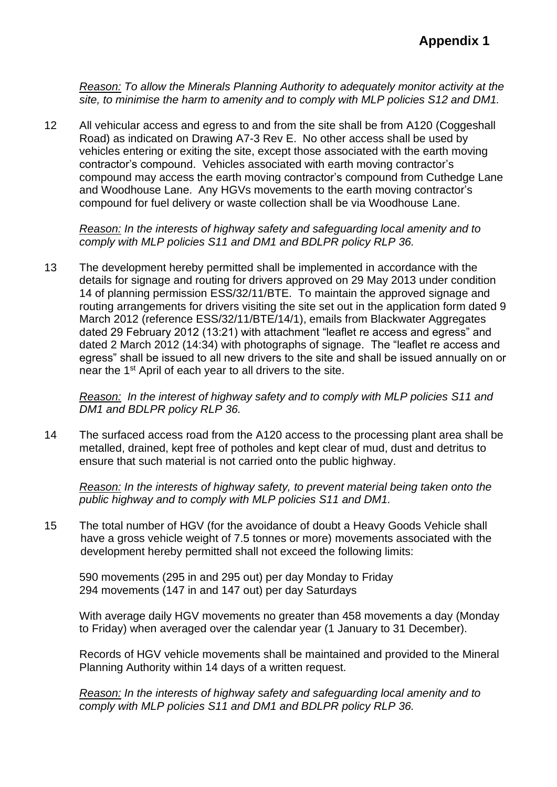*Reason: To allow the Minerals Planning Authority to adequately monitor activity at the site, to minimise the harm to amenity and to comply with MLP policies S12 and DM1.*

12 All vehicular access and egress to and from the site shall be from A120 (Coggeshall Road) as indicated on Drawing A7-3 Rev E. No other access shall be used by vehicles entering or exiting the site, except those associated with the earth moving contractor's compound. Vehicles associated with earth moving contractor's compound may access the earth moving contractor's compound from Cuthedge Lane and Woodhouse Lane. Any HGVs movements to the earth moving contractor's compound for fuel delivery or waste collection shall be via Woodhouse Lane.

*Reason: In the interests of highway safety and safeguarding local amenity and to comply with MLP policies S11 and DM1 and BDLPR policy RLP 36.*

13 The development hereby permitted shall be implemented in accordance with the details for signage and routing for drivers approved on 29 May 2013 under condition 14 of planning permission ESS/32/11/BTE. To maintain the approved signage and routing arrangements for drivers visiting the site set out in the application form dated 9 March 2012 (reference ESS/32/11/BTE/14/1), emails from Blackwater Aggregates dated 29 February 2012 (13:21) with attachment "leaflet re access and egress" and dated 2 March 2012 (14:34) with photographs of signage. The "leaflet re access and egress" shall be issued to all new drivers to the site and shall be issued annually on or near the 1st April of each year to all drivers to the site.

*Reason: In the interest of highway safety and to comply with MLP policies S11 and DM1 and BDLPR policy RLP 36.*

14 The surfaced access road from the A120 access to the processing plant area shall be metalled, drained, kept free of potholes and kept clear of mud, dust and detritus to ensure that such material is not carried onto the public highway.

*Reason: In the interests of highway safety, to prevent material being taken onto the public highway and to comply with MLP policies S11 and DM1.*

15 The total number of HGV (for the avoidance of doubt a Heavy Goods Vehicle shall have a gross vehicle weight of 7.5 tonnes or more) movements associated with the development hereby permitted shall not exceed the following limits:

590 movements (295 in and 295 out) per day Monday to Friday 294 movements (147 in and 147 out) per day Saturdays

With average daily HGV movements no greater than 458 movements a day (Monday to Friday) when averaged over the calendar year (1 January to 31 December).

Records of HGV vehicle movements shall be maintained and provided to the Mineral Planning Authority within 14 days of a written request.

*Reason: In the interests of highway safety and safeguarding local amenity and to comply with MLP policies S11 and DM1 and BDLPR policy RLP 36.*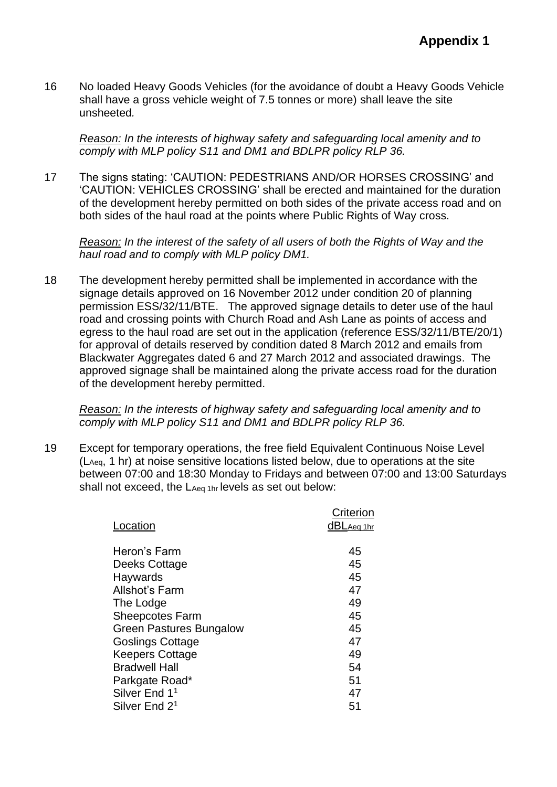16 No loaded Heavy Goods Vehicles (for the avoidance of doubt a Heavy Goods Vehicle shall have a gross vehicle weight of 7.5 tonnes or more) shall leave the site unsheeted*.*

*Reason: In the interests of highway safety and safeguarding local amenity and to comply with MLP policy S11 and DM1 and BDLPR policy RLP 36.*

17 The signs stating: 'CAUTION: PEDESTRIANS AND/OR HORSES CROSSING' and 'CAUTION: VEHICLES CROSSING' shall be erected and maintained for the duration of the development hereby permitted on both sides of the private access road and on both sides of the haul road at the points where Public Rights of Way cross.

*Reason: In the interest of the safety of all users of both the Rights of Way and the haul road and to comply with MLP policy DM1.*

18 The development hereby permitted shall be implemented in accordance with the signage details approved on 16 November 2012 under condition 20 of planning permission ESS/32/11/BTE. The approved signage details to deter use of the haul road and crossing points with Church Road and Ash Lane as points of access and egress to the haul road are set out in the application (reference ESS/32/11/BTE/20/1) for approval of details reserved by condition dated 8 March 2012 and emails from Blackwater Aggregates dated 6 and 27 March 2012 and associated drawings. The approved signage shall be maintained along the private access road for the duration of the development hereby permitted.

*Reason: In the interests of highway safety and safeguarding local amenity and to comply with MLP policy S11 and DM1 and BDLPR policy RLP 36.*

19 Except for temporary operations, the free field Equivalent Continuous Noise Level (LAeq, 1 hr) at noise sensitive locations listed below, due to operations at the site between 07:00 and 18:30 Monday to Fridays and between 07:00 and 13:00 Saturdays shall not exceed, the  $L_{Aea 1hr}$  levels as set out below:

|                           | Criterion  |
|---------------------------|------------|
| Location                  | dBLAeq 1hr |
|                           |            |
| Heron's Farm              | 45         |
| Deeks Cottage             | 45         |
| Haywards                  | 45         |
| Allshot's Farm            | 47         |
| The Lodge                 | 49         |
| <b>Sheepcotes Farm</b>    | 45         |
| Green Pastures Bungalow   | 45         |
| <b>Goslings Cottage</b>   | 47         |
| Keepers Cottage           | 49         |
| <b>Bradwell Hall</b>      | 54         |
| Parkgate Road*            | 51         |
| Silver End 1 <sup>1</sup> | 47         |
| Silver End 2 <sup>1</sup> | 51         |
|                           |            |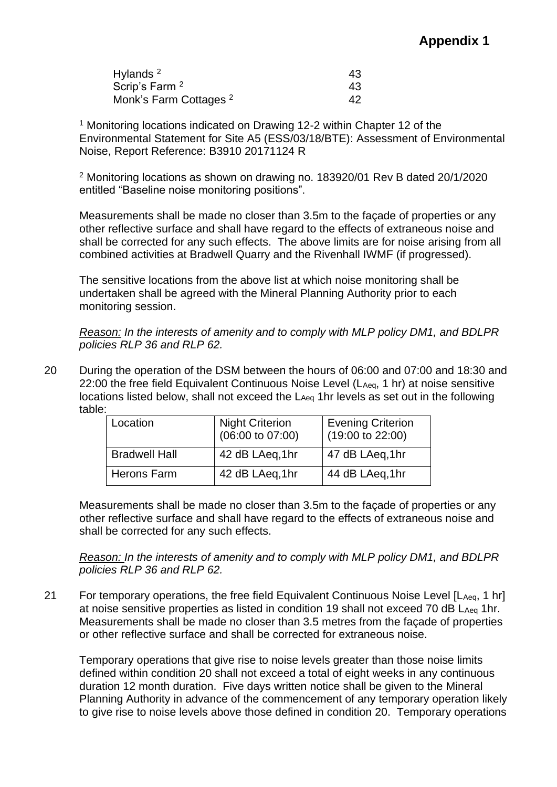## **Appendix 1**

| Hylands <sup>2</sup>              | 43 |
|-----------------------------------|----|
| Scrip's Farm 2                    | 43 |
| Monk's Farm Cottages <sup>2</sup> | 42 |

<sup>1</sup> Monitoring locations indicated on Drawing 12-2 within Chapter 12 of the Environmental Statement for Site A5 (ESS/03/18/BTE): Assessment of Environmental Noise, Report Reference: B3910 20171124 R

<sup>2</sup> Monitoring locations as shown on drawing no. 183920/01 Rev B dated 20/1/2020 entitled "Baseline noise monitoring positions".

Measurements shall be made no closer than 3.5m to the façade of properties or any other reflective surface and shall have regard to the effects of extraneous noise and shall be corrected for any such effects. The above limits are for noise arising from all combined activities at Bradwell Quarry and the Rivenhall IWMF (if progressed).

The sensitive locations from the above list at which noise monitoring shall be undertaken shall be agreed with the Mineral Planning Authority prior to each monitoring session.

*Reason: In the interests of amenity and to comply with MLP policy DM1, and BDLPR policies RLP 36 and RLP 62.*

20 During the operation of the DSM between the hours of 06:00 and 07:00 and 18:30 and 22:00 the free field Equivalent Continuous Noise Level (LAeq, 1 hr) at noise sensitive locations listed below, shall not exceed the LAeq 1hr levels as set out in the following table:

| Location             | <b>Night Criterion</b><br>$(06:00 \text{ to } 07:00)$ | <b>Evening Criterion</b><br>$(19.00 \text{ to } 22.00)$ |
|----------------------|-------------------------------------------------------|---------------------------------------------------------|
| <b>Bradwell Hall</b> | 42 dB LAeq, 1hr                                       | 47 dB LAeq, 1hr                                         |
| <b>Herons Farm</b>   | 42 dB LAeq, 1hr                                       | 44 dB LAeq, 1hr                                         |

Measurements shall be made no closer than 3.5m to the façade of properties or any other reflective surface and shall have regard to the effects of extraneous noise and shall be corrected for any such effects.

*Reason: In the interests of amenity and to comply with MLP policy DM1, and BDLPR policies RLP 36 and RLP 62.*

21 For temporary operations, the free field Equivalent Continuous Noise Level [L<sub>Aeq</sub>, 1 hr] at noise sensitive properties as listed in condition 19 shall not exceed 70 dB LAeq 1hr. Measurements shall be made no closer than 3.5 metres from the façade of properties or other reflective surface and shall be corrected for extraneous noise.

Temporary operations that give rise to noise levels greater than those noise limits defined within condition 20 shall not exceed a total of eight weeks in any continuous duration 12 month duration. Five days written notice shall be given to the Mineral Planning Authority in advance of the commencement of any temporary operation likely to give rise to noise levels above those defined in condition 20. Temporary operations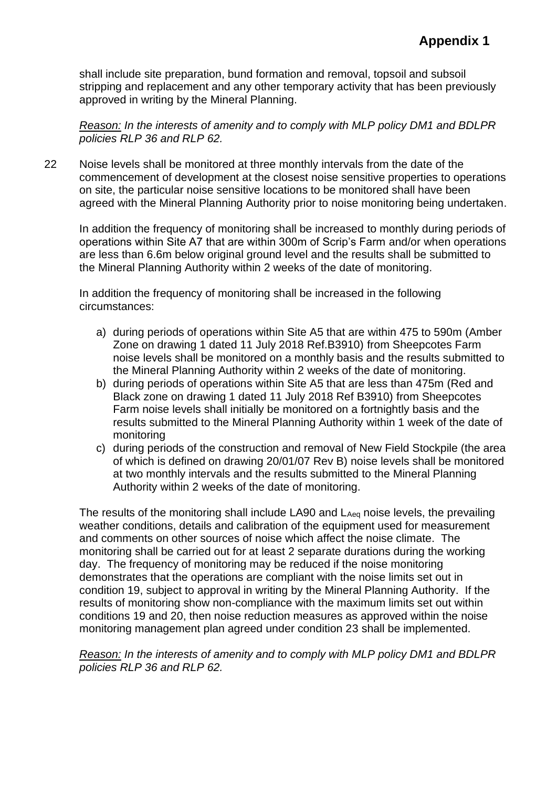shall include site preparation, bund formation and removal, topsoil and subsoil stripping and replacement and any other temporary activity that has been previously approved in writing by the Mineral Planning.

*Reason: In the interests of amenity and to comply with MLP policy DM1 and BDLPR policies RLP 36 and RLP 62.*

22 Noise levels shall be monitored at three monthly intervals from the date of the commencement of development at the closest noise sensitive properties to operations on site, the particular noise sensitive locations to be monitored shall have been agreed with the Mineral Planning Authority prior to noise monitoring being undertaken.

In addition the frequency of monitoring shall be increased to monthly during periods of operations within Site A7 that are within 300m of Scrip's Farm and/or when operations are less than 6.6m below original ground level and the results shall be submitted to the Mineral Planning Authority within 2 weeks of the date of monitoring.

In addition the frequency of monitoring shall be increased in the following circumstances:

- a) during periods of operations within Site A5 that are within 475 to 590m (Amber Zone on drawing 1 dated 11 July 2018 Ref.B3910) from Sheepcotes Farm noise levels shall be monitored on a monthly basis and the results submitted to the Mineral Planning Authority within 2 weeks of the date of monitoring.
- b) during periods of operations within Site A5 that are less than 475m (Red and Black zone on drawing 1 dated 11 July 2018 Ref B3910) from Sheepcotes Farm noise levels shall initially be monitored on a fortnightly basis and the results submitted to the Mineral Planning Authority within 1 week of the date of monitoring
- c) during periods of the construction and removal of New Field Stockpile (the area of which is defined on drawing 20/01/07 Rev B) noise levels shall be monitored at two monthly intervals and the results submitted to the Mineral Planning Authority within 2 weeks of the date of monitoring.

The results of the monitoring shall include LA90 and LAeq noise levels, the prevailing weather conditions, details and calibration of the equipment used for measurement and comments on other sources of noise which affect the noise climate. The monitoring shall be carried out for at least 2 separate durations during the working day. The frequency of monitoring may be reduced if the noise monitoring demonstrates that the operations are compliant with the noise limits set out in condition 19, subject to approval in writing by the Mineral Planning Authority. If the results of monitoring show non-compliance with the maximum limits set out within conditions 19 and 20, then noise reduction measures as approved within the noise monitoring management plan agreed under condition 23 shall be implemented.

*Reason: In the interests of amenity and to comply with MLP policy DM1 and BDLPR policies RLP 36 and RLP 62.*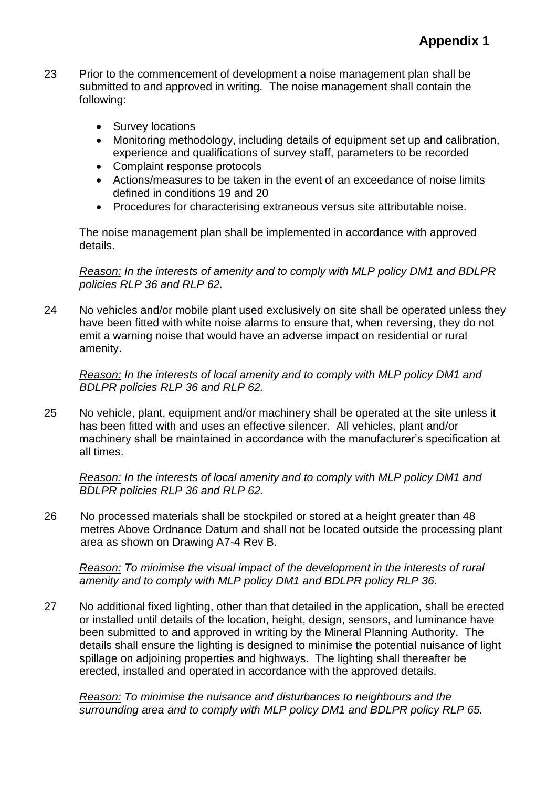- 23 Prior to the commencement of development a noise management plan shall be submitted to and approved in writing. The noise management shall contain the following:
	- Survey locations
	- Monitoring methodology, including details of equipment set up and calibration, experience and qualifications of survey staff, parameters to be recorded
	- Complaint response protocols
	- Actions/measures to be taken in the event of an exceedance of noise limits defined in conditions 19 and 20
	- Procedures for characterising extraneous versus site attributable noise.

The noise management plan shall be implemented in accordance with approved details.

*Reason: In the interests of amenity and to comply with MLP policy DM1 and BDLPR policies RLP 36 and RLP 62.*

24 No vehicles and/or mobile plant used exclusively on site shall be operated unless they have been fitted with white noise alarms to ensure that, when reversing, they do not emit a warning noise that would have an adverse impact on residential or rural amenity.

*Reason: In the interests of local amenity and to comply with MLP policy DM1 and BDLPR policies RLP 36 and RLP 62.*

25 No vehicle, plant, equipment and/or machinery shall be operated at the site unless it has been fitted with and uses an effective silencer. All vehicles, plant and/or machinery shall be maintained in accordance with the manufacturer's specification at all times.

*Reason: In the interests of local amenity and to comply with MLP policy DM1 and BDLPR policies RLP 36 and RLP 62.*

26 No processed materials shall be stockpiled or stored at a height greater than 48 metres Above Ordnance Datum and shall not be located outside the processing plant area as shown on Drawing A7-4 Rev B.

*Reason: To minimise the visual impact of the development in the interests of rural amenity and to comply with MLP policy DM1 and BDLPR policy RLP 36.*

27 No additional fixed lighting, other than that detailed in the application, shall be erected or installed until details of the location, height, design, sensors, and luminance have been submitted to and approved in writing by the Mineral Planning Authority. The details shall ensure the lighting is designed to minimise the potential nuisance of light spillage on adjoining properties and highways. The lighting shall thereafter be erected, installed and operated in accordance with the approved details.

*Reason: To minimise the nuisance and disturbances to neighbours and the surrounding area and to comply with MLP policy DM1 and BDLPR policy RLP 65.*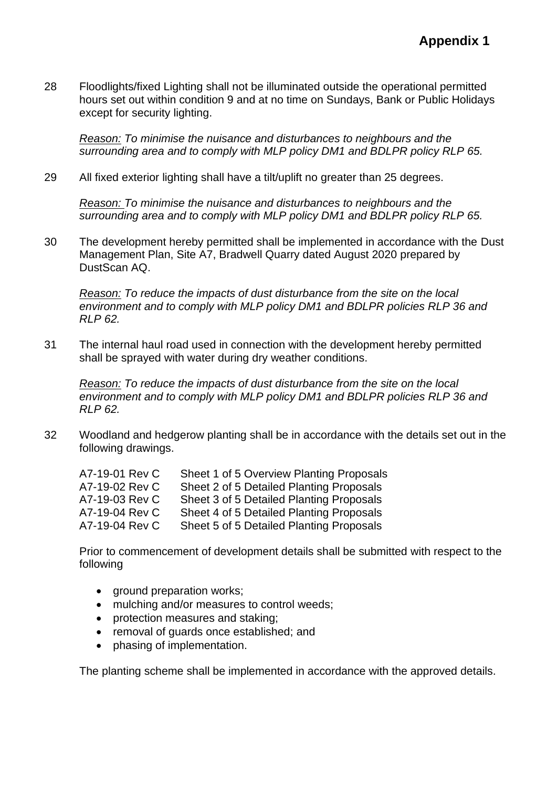28 Floodlights/fixed Lighting shall not be illuminated outside the operational permitted hours set out within condition 9 and at no time on Sundays, Bank or Public Holidays except for security lighting.

*Reason: To minimise the nuisance and disturbances to neighbours and the surrounding area and to comply with MLP policy DM1 and BDLPR policy RLP 65.*

29 All fixed exterior lighting shall have a tilt/uplift no greater than 25 degrees.

*Reason: To minimise the nuisance and disturbances to neighbours and the surrounding area and to comply with MLP policy DM1 and BDLPR policy RLP 65.*

30 The development hereby permitted shall be implemented in accordance with the Dust Management Plan, Site A7, Bradwell Quarry dated August 2020 prepared by DustScan AQ.

*Reason: To reduce the impacts of dust disturbance from the site on the local environment and to comply with MLP policy DM1 and BDLPR policies RLP 36 and RLP 62.*

31 The internal haul road used in connection with the development hereby permitted shall be sprayed with water during dry weather conditions.

*Reason: To reduce the impacts of dust disturbance from the site on the local environment and to comply with MLP policy DM1 and BDLPR policies RLP 36 and RLP 62.*

32 Woodland and hedgerow planting shall be in accordance with the details set out in the following drawings.

| A7-19-01 Rev C | Sheet 1 of 5 Overview Planting Proposals |
|----------------|------------------------------------------|
| A7-19-02 Rev C | Sheet 2 of 5 Detailed Planting Proposals |
| A7-19-03 Rev C | Sheet 3 of 5 Detailed Planting Proposals |
| A7-19-04 Rev C | Sheet 4 of 5 Detailed Planting Proposals |
| A7-19-04 Rev C | Sheet 5 of 5 Detailed Planting Proposals |

Prior to commencement of development details shall be submitted with respect to the following

- ground preparation works;
- mulching and/or measures to control weeds;
- protection measures and staking;
- removal of guards once established; and
- phasing of implementation.

The planting scheme shall be implemented in accordance with the approved details.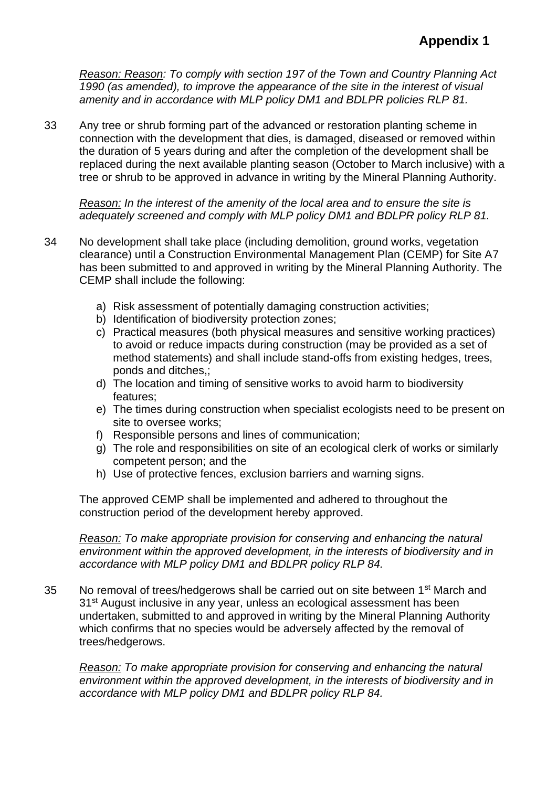*Reason: Reason: To comply with section 197 of the Town and Country Planning Act 1990 (as amended), to improve the appearance of the site in the interest of visual amenity and in accordance with MLP policy DM1 and BDLPR policies RLP 81.*

33 Any tree or shrub forming part of the advanced or restoration planting scheme in connection with the development that dies, is damaged, diseased or removed within the duration of 5 years during and after the completion of the development shall be replaced during the next available planting season (October to March inclusive) with a tree or shrub to be approved in advance in writing by the Mineral Planning Authority.

*Reason: In the interest of the amenity of the local area and to ensure the site is adequately screened and comply with MLP policy DM1 and BDLPR policy RLP 81.*

- 34 No development shall take place (including demolition, ground works, vegetation clearance) until a Construction Environmental Management Plan (CEMP) for Site A7 has been submitted to and approved in writing by the Mineral Planning Authority. The CEMP shall include the following:
	- a) Risk assessment of potentially damaging construction activities;
	- b) Identification of biodiversity protection zones;
	- c) Practical measures (both physical measures and sensitive working practices) to avoid or reduce impacts during construction (may be provided as a set of method statements) and shall include stand-offs from existing hedges, trees, ponds and ditches,;
	- d) The location and timing of sensitive works to avoid harm to biodiversity features;
	- e) The times during construction when specialist ecologists need to be present on site to oversee works;
	- f) Responsible persons and lines of communication;
	- g) The role and responsibilities on site of an ecological clerk of works or similarly competent person; and the
	- h) Use of protective fences, exclusion barriers and warning signs.

The approved CEMP shall be implemented and adhered to throughout the construction period of the development hereby approved.

*Reason: To make appropriate provision for conserving and enhancing the natural environment within the approved development, in the interests of biodiversity and in accordance with MLP policy DM1 and BDLPR policy RLP 84.*

35 No removal of trees/hedgerows shall be carried out on site between 1<sup>st</sup> March and 31<sup>st</sup> August inclusive in any year, unless an ecological assessment has been undertaken, submitted to and approved in writing by the Mineral Planning Authority which confirms that no species would be adversely affected by the removal of trees/hedgerows.

*Reason: To make appropriate provision for conserving and enhancing the natural environment within the approved development, in the interests of biodiversity and in accordance with MLP policy DM1 and BDLPR policy RLP 84.*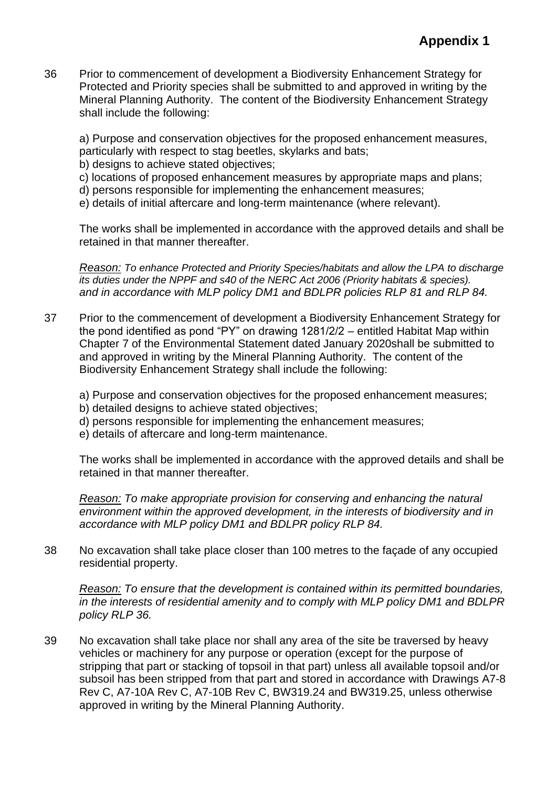36 Prior to commencement of development a Biodiversity Enhancement Strategy for Protected and Priority species shall be submitted to and approved in writing by the Mineral Planning Authority. The content of the Biodiversity Enhancement Strategy shall include the following:

a) Purpose and conservation objectives for the proposed enhancement measures, particularly with respect to stag beetles, skylarks and bats;

- b) designs to achieve stated objectives;
- c) locations of proposed enhancement measures by appropriate maps and plans;
- d) persons responsible for implementing the enhancement measures;
- e) details of initial aftercare and long-term maintenance (where relevant).

The works shall be implemented in accordance with the approved details and shall be retained in that manner thereafter.

*Reason: To enhance Protected and Priority Species/habitats and allow the LPA to discharge its duties under the NPPF and s40 of the NERC Act 2006 (Priority habitats & species). and in accordance with MLP policy DM1 and BDLPR policies RLP 81 and RLP 84.*

- 37 Prior to the commencement of development a Biodiversity Enhancement Strategy for the pond identified as pond "PY" on drawing 1281/2/2 – entitled Habitat Map within Chapter 7 of the Environmental Statement dated January 2020shall be submitted to and approved in writing by the Mineral Planning Authority. The content of the Biodiversity Enhancement Strategy shall include the following:
	- a) Purpose and conservation objectives for the proposed enhancement measures;
	- b) detailed designs to achieve stated objectives;
	- d) persons responsible for implementing the enhancement measures;
	- e) details of aftercare and long-term maintenance.

The works shall be implemented in accordance with the approved details and shall be retained in that manner thereafter.

*Reason: To make appropriate provision for conserving and enhancing the natural environment within the approved development, in the interests of biodiversity and in accordance with MLP policy DM1 and BDLPR policy RLP 84.*

38 No excavation shall take place closer than 100 metres to the façade of any occupied residential property.

*Reason: To ensure that the development is contained within its permitted boundaries, in the interests of residential amenity and to comply with MLP policy DM1 and BDLPR policy RLP 36.*

39 No excavation shall take place nor shall any area of the site be traversed by heavy vehicles or machinery for any purpose or operation (except for the purpose of stripping that part or stacking of topsoil in that part) unless all available topsoil and/or subsoil has been stripped from that part and stored in accordance with Drawings A7-8 Rev C, A7-10A Rev C, A7-10B Rev C, BW319.24 and BW319.25, unless otherwise approved in writing by the Mineral Planning Authority.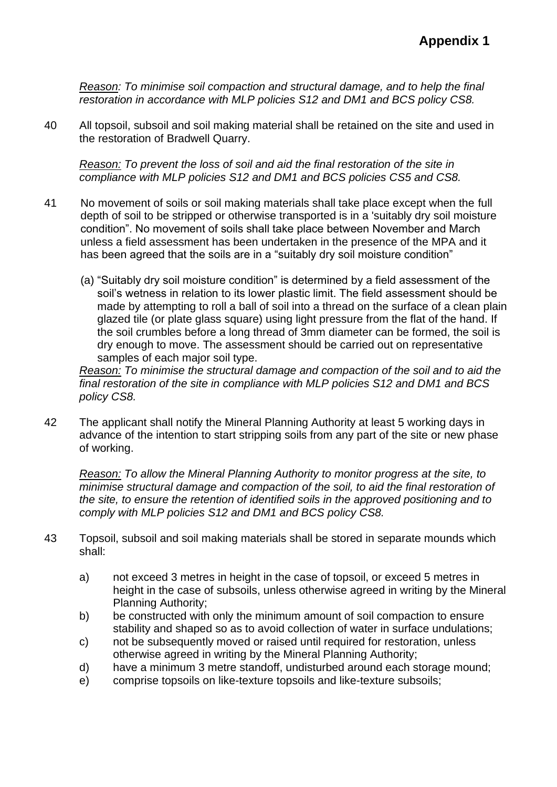*Reason: To minimise soil compaction and structural damage, and to help the final restoration in accordance with MLP policies S12 and DM1 and BCS policy CS8.*

40 All topsoil, subsoil and soil making material shall be retained on the site and used in the restoration of Bradwell Quarry.

*Reason: To prevent the loss of soil and aid the final restoration of the site in compliance with MLP policies S12 and DM1 and BCS policies CS5 and CS8.*

- 41 No movement of soils or soil making materials shall take place except when the full depth of soil to be stripped or otherwise transported is in a 'suitably dry soil moisture condition". No movement of soils shall take place between November and March unless a field assessment has been undertaken in the presence of the MPA and it has been agreed that the soils are in a "suitably dry soil moisture condition"
	- (a) "Suitably dry soil moisture condition" is determined by a field assessment of the soil's wetness in relation to its lower plastic limit. The field assessment should be made by attempting to roll a ball of soil into a thread on the surface of a clean plain glazed tile (or plate glass square) using light pressure from the flat of the hand. If the soil crumbles before a long thread of 3mm diameter can be formed, the soil is dry enough to move. The assessment should be carried out on representative samples of each major soil type.

*Reason: To minimise the structural damage and compaction of the soil and to aid the final restoration of the site in compliance with MLP policies S12 and DM1 and BCS policy CS8.*

42 The applicant shall notify the Mineral Planning Authority at least 5 working days in advance of the intention to start stripping soils from any part of the site or new phase of working.

*Reason: To allow the Mineral Planning Authority to monitor progress at the site, to minimise structural damage and compaction of the soil, to aid the final restoration of the site, to ensure the retention of identified soils in the approved positioning and to comply with MLP policies S12 and DM1 and BCS policy CS8.*

- 43 Topsoil, subsoil and soil making materials shall be stored in separate mounds which shall:
	- a) not exceed 3 metres in height in the case of topsoil, or exceed 5 metres in height in the case of subsoils, unless otherwise agreed in writing by the Mineral Planning Authority;
	- b) be constructed with only the minimum amount of soil compaction to ensure stability and shaped so as to avoid collection of water in surface undulations;
	- c) not be subsequently moved or raised until required for restoration, unless otherwise agreed in writing by the Mineral Planning Authority;
	- d) have a minimum 3 metre standoff, undisturbed around each storage mound;
	- e) comprise topsoils on like-texture topsoils and like-texture subsoils;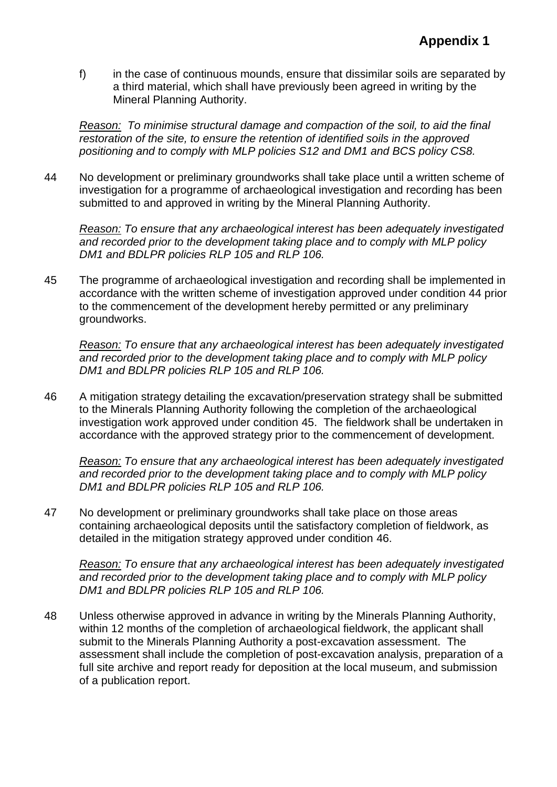f) in the case of continuous mounds, ensure that dissimilar soils are separated by a third material, which shall have previously been agreed in writing by the Mineral Planning Authority.

*Reason: To minimise structural damage and compaction of the soil, to aid the final restoration of the site, to ensure the retention of identified soils in the approved positioning and to comply with MLP policies S12 and DM1 and BCS policy CS8.*

44 No development or preliminary groundworks shall take place until a written scheme of investigation for a programme of archaeological investigation and recording has been submitted to and approved in writing by the Mineral Planning Authority.

*Reason: To ensure that any archaeological interest has been adequately investigated and recorded prior to the development taking place and to comply with MLP policy DM1 and BDLPR policies RLP 105 and RLP 106.*

45 The programme of archaeological investigation and recording shall be implemented in accordance with the written scheme of investigation approved under condition 44 prior to the commencement of the development hereby permitted or any preliminary groundworks.

*Reason: To ensure that any archaeological interest has been adequately investigated and recorded prior to the development taking place and to comply with MLP policy DM1 and BDLPR policies RLP 105 and RLP 106.*

46 A mitigation strategy detailing the excavation/preservation strategy shall be submitted to the Minerals Planning Authority following the completion of the archaeological investigation work approved under condition 45. The fieldwork shall be undertaken in accordance with the approved strategy prior to the commencement of development.

*Reason: To ensure that any archaeological interest has been adequately investigated and recorded prior to the development taking place and to comply with MLP policy DM1 and BDLPR policies RLP 105 and RLP 106.*

47 No development or preliminary groundworks shall take place on those areas containing archaeological deposits until the satisfactory completion of fieldwork, as detailed in the mitigation strategy approved under condition 46.

*Reason: To ensure that any archaeological interest has been adequately investigated and recorded prior to the development taking place and to comply with MLP policy DM1 and BDLPR policies RLP 105 and RLP 106.*

48 Unless otherwise approved in advance in writing by the Minerals Planning Authority, within 12 months of the completion of archaeological fieldwork, the applicant shall submit to the Minerals Planning Authority a post-excavation assessment. The assessment shall include the completion of post-excavation analysis, preparation of a full site archive and report ready for deposition at the local museum, and submission of a publication report.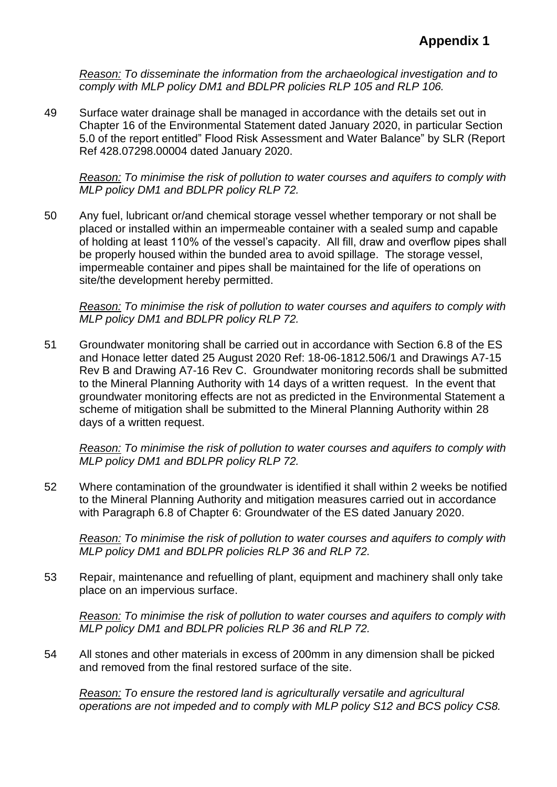*Reason: To disseminate the information from the archaeological investigation and to comply with MLP policy DM1 and BDLPR policies RLP 105 and RLP 106.*

49 Surface water drainage shall be managed in accordance with the details set out in Chapter 16 of the Environmental Statement dated January 2020, in particular Section 5.0 of the report entitled" Flood Risk Assessment and Water Balance" by SLR (Report Ref 428.07298.00004 dated January 2020.

*Reason: To minimise the risk of pollution to water courses and aquifers to comply with MLP policy DM1 and BDLPR policy RLP 72.*

50 Any fuel, lubricant or/and chemical storage vessel whether temporary or not shall be placed or installed within an impermeable container with a sealed sump and capable of holding at least 110% of the vessel's capacity. All fill, draw and overflow pipes shall be properly housed within the bunded area to avoid spillage. The storage vessel, impermeable container and pipes shall be maintained for the life of operations on site/the development hereby permitted.

*Reason: To minimise the risk of pollution to water courses and aquifers to comply with MLP policy DM1 and BDLPR policy RLP 72.*

51 Groundwater monitoring shall be carried out in accordance with Section 6.8 of the ES and Honace letter dated 25 August 2020 Ref: 18-06-1812.506/1 and Drawings A7-15 Rev B and Drawing A7-16 Rev C. Groundwater monitoring records shall be submitted to the Mineral Planning Authority with 14 days of a written request. In the event that groundwater monitoring effects are not as predicted in the Environmental Statement a scheme of mitigation shall be submitted to the Mineral Planning Authority within 28 days of a written request.

*Reason: To minimise the risk of pollution to water courses and aquifers to comply with MLP policy DM1 and BDLPR policy RLP 72.*

52 Where contamination of the groundwater is identified it shall within 2 weeks be notified to the Mineral Planning Authority and mitigation measures carried out in accordance with Paragraph 6.8 of Chapter 6: Groundwater of the ES dated January 2020.

*Reason: To minimise the risk of pollution to water courses and aquifers to comply with MLP policy DM1 and BDLPR policies RLP 36 and RLP 72.*

53 Repair, maintenance and refuelling of plant, equipment and machinery shall only take place on an impervious surface.

*Reason: To minimise the risk of pollution to water courses and aquifers to comply with MLP policy DM1 and BDLPR policies RLP 36 and RLP 72.*

54 All stones and other materials in excess of 200mm in any dimension shall be picked and removed from the final restored surface of the site.

*Reason: To ensure the restored land is agriculturally versatile and agricultural operations are not impeded and to comply with MLP policy S12 and BCS policy CS8.*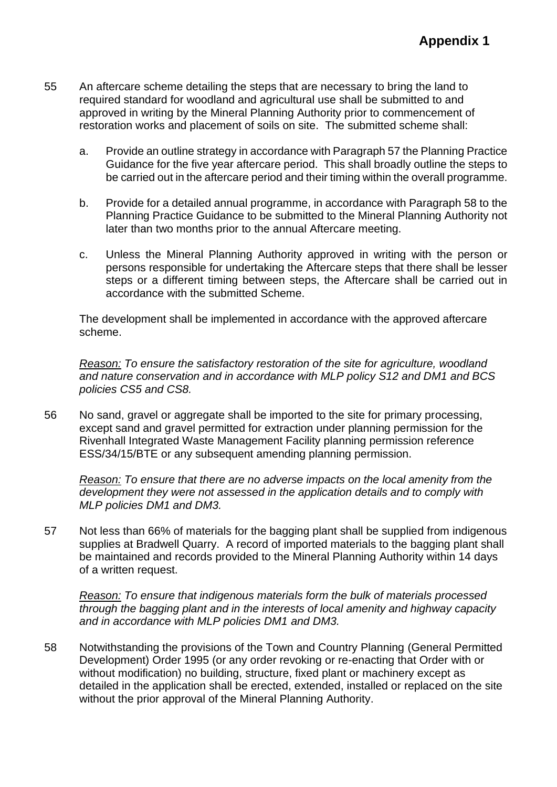- 55 An aftercare scheme detailing the steps that are necessary to bring the land to required standard for woodland and agricultural use shall be submitted to and approved in writing by the Mineral Planning Authority prior to commencement of restoration works and placement of soils on site. The submitted scheme shall:
	- a. Provide an outline strategy in accordance with Paragraph 57 the Planning Practice Guidance for the five year aftercare period. This shall broadly outline the steps to be carried out in the aftercare period and their timing within the overall programme.
	- b. Provide for a detailed annual programme, in accordance with Paragraph 58 to the Planning Practice Guidance to be submitted to the Mineral Planning Authority not later than two months prior to the annual Aftercare meeting.
	- c. Unless the Mineral Planning Authority approved in writing with the person or persons responsible for undertaking the Aftercare steps that there shall be lesser steps or a different timing between steps, the Aftercare shall be carried out in accordance with the submitted Scheme.

The development shall be implemented in accordance with the approved aftercare scheme.

*Reason: To ensure the satisfactory restoration of the site for agriculture, woodland and nature conservation and in accordance with MLP policy S12 and DM1 and BCS policies CS5 and CS8.*

56 No sand, gravel or aggregate shall be imported to the site for primary processing, except sand and gravel permitted for extraction under planning permission for the Rivenhall Integrated Waste Management Facility planning permission reference ESS/34/15/BTE or any subsequent amending planning permission.

*Reason: To ensure that there are no adverse impacts on the local amenity from the development they were not assessed in the application details and to comply with MLP policies DM1 and DM3.*

57 Not less than 66% of materials for the bagging plant shall be supplied from indigenous supplies at Bradwell Quarry. A record of imported materials to the bagging plant shall be maintained and records provided to the Mineral Planning Authority within 14 days of a written request.

*Reason: To ensure that indigenous materials form the bulk of materials processed through the bagging plant and in the interests of local amenity and highway capacity and in accordance with MLP policies DM1 and DM3.*

58 Notwithstanding the provisions of the Town and Country Planning (General Permitted Development) Order 1995 (or any order revoking or re-enacting that Order with or without modification) no building, structure, fixed plant or machinery except as detailed in the application shall be erected, extended, installed or replaced on the site without the prior approval of the Mineral Planning Authority.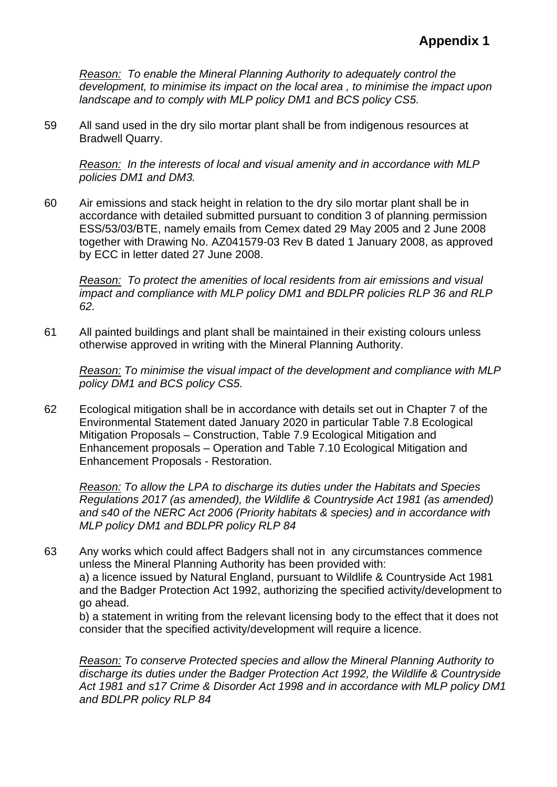*Reason: To enable the Mineral Planning Authority to adequately control the development, to minimise its impact on the local area , to minimise the impact upon landscape and to comply with MLP policy DM1 and BCS policy CS5.*

59 All sand used in the dry silo mortar plant shall be from indigenous resources at Bradwell Quarry.

*Reason: In the interests of local and visual amenity and in accordance with MLP policies DM1 and DM3.*

60 Air emissions and stack height in relation to the dry silo mortar plant shall be in accordance with detailed submitted pursuant to condition 3 of planning permission ESS/53/03/BTE, namely emails from Cemex dated 29 May 2005 and 2 June 2008 together with Drawing No. AZ041579-03 Rev B dated 1 January 2008, as approved by ECC in letter dated 27 June 2008.

*Reason: To protect the amenities of local residents from air emissions and visual impact and compliance with MLP policy DM1 and BDLPR policies RLP 36 and RLP 62.*

61 All painted buildings and plant shall be maintained in their existing colours unless otherwise approved in writing with the Mineral Planning Authority.

*Reason: To minimise the visual impact of the development and compliance with MLP policy DM1 and BCS policy CS5.*

62 Ecological mitigation shall be in accordance with details set out in Chapter 7 of the Environmental Statement dated January 2020 in particular Table 7.8 Ecological Mitigation Proposals – Construction, Table 7.9 Ecological Mitigation and Enhancement proposals – Operation and Table 7.10 Ecological Mitigation and Enhancement Proposals - Restoration.

*Reason: To allow the LPA to discharge its duties under the Habitats and Species Regulations 2017 (as amended), the Wildlife & Countryside Act 1981 (as amended) and s40 of the NERC Act 2006 (Priority habitats & species) and in accordance with MLP policy DM1 and BDLPR policy RLP 84*

63 Any works which could affect Badgers shall not in any circumstances commence unless the Mineral Planning Authority has been provided with: a) a licence issued by Natural England, pursuant to Wildlife & Countryside Act 1981

and the Badger Protection Act 1992, authorizing the specified activity/development to go ahead.

b) a statement in writing from the relevant licensing body to the effect that it does not consider that the specified activity/development will require a licence.

*Reason: To conserve Protected species and allow the Mineral Planning Authority to discharge its duties under the Badger Protection Act 1992, the Wildlife & Countryside Act 1981 and s17 Crime & Disorder Act 1998 and in accordance with MLP policy DM1 and BDLPR policy RLP 84*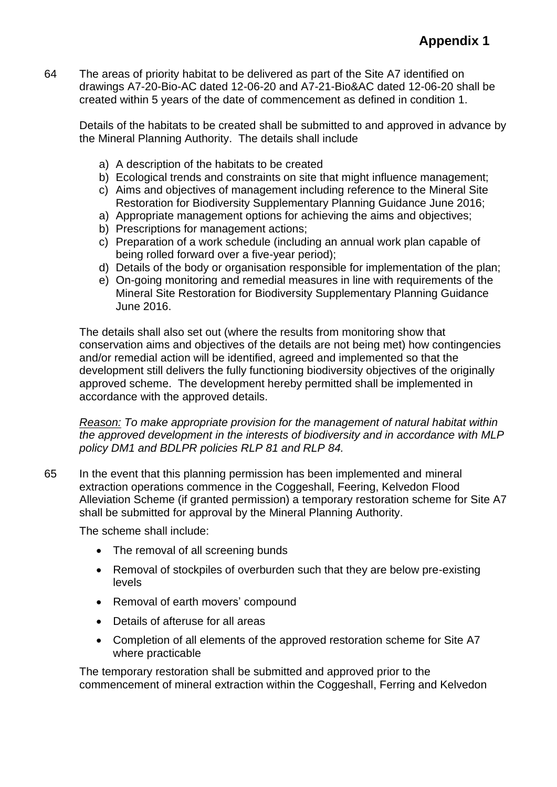64 The areas of priority habitat to be delivered as part of the Site A7 identified on drawings A7-20-Bio-AC dated 12-06-20 and A7-21-Bio&AC dated 12-06-20 shall be created within 5 years of the date of commencement as defined in condition 1.

Details of the habitats to be created shall be submitted to and approved in advance by the Mineral Planning Authority. The details shall include

- a) A description of the habitats to be created
- b) Ecological trends and constraints on site that might influence management;
- c) Aims and objectives of management including reference to the Mineral Site Restoration for Biodiversity Supplementary Planning Guidance June 2016;
- a) Appropriate management options for achieving the aims and objectives;
- b) Prescriptions for management actions;
- c) Preparation of a work schedule (including an annual work plan capable of being rolled forward over a five-year period);
- d) Details of the body or organisation responsible for implementation of the plan;
- e) On-going monitoring and remedial measures in line with requirements of the Mineral Site Restoration for Biodiversity Supplementary Planning Guidance June 2016.

The details shall also set out (where the results from monitoring show that conservation aims and objectives of the details are not being met) how contingencies and/or remedial action will be identified, agreed and implemented so that the development still delivers the fully functioning biodiversity objectives of the originally approved scheme. The development hereby permitted shall be implemented in accordance with the approved details.

*Reason: To make appropriate provision for the management of natural habitat within the approved development in the interests of biodiversity and in accordance with MLP policy DM1 and BDLPR policies RLP 81 and RLP 84.*

65 In the event that this planning permission has been implemented and mineral extraction operations commence in the Coggeshall, Feering, Kelvedon Flood Alleviation Scheme (if granted permission) a temporary restoration scheme for Site A7 shall be submitted for approval by the Mineral Planning Authority.

The scheme shall include:

- The removal of all screening bunds
- Removal of stockpiles of overburden such that they are below pre-existing levels
- Removal of earth movers' compound
- Details of afteruse for all areas
- Completion of all elements of the approved restoration scheme for Site A7 where practicable

The temporary restoration shall be submitted and approved prior to the commencement of mineral extraction within the Coggeshall, Ferring and Kelvedon